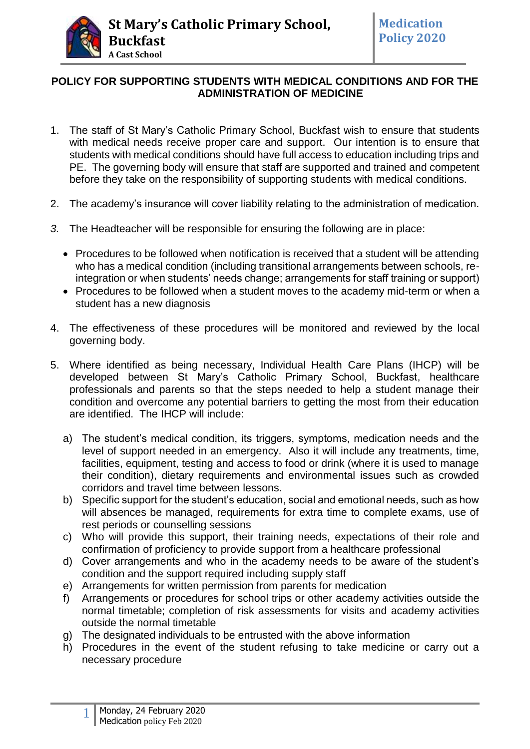

# **POLICY FOR SUPPORTING STUDENTS WITH MEDICAL CONDITIONS AND FOR THE ADMINISTRATION OF MEDICINE**

- 1. The staff of St Mary's Catholic Primary School, Buckfast wish to ensure that students with medical needs receive proper care and support. Our intention is to ensure that students with medical conditions should have full access to education including trips and PE. The governing body will ensure that staff are supported and trained and competent before they take on the responsibility of supporting students with medical conditions.
- 2. The academy's insurance will cover liability relating to the administration of medication.
- *3.* The Headteacher will be responsible for ensuring the following are in place:
	- Procedures to be followed when notification is received that a student will be attending who has a medical condition (including transitional arrangements between schools, reintegration or when students' needs change; arrangements for staff training or support)
	- Procedures to be followed when a student moves to the academy mid-term or when a student has a new diagnosis
- 4. The effectiveness of these procedures will be monitored and reviewed by the local governing body.
- 5. Where identified as being necessary, Individual Health Care Plans (IHCP) will be developed between St Mary's Catholic Primary School, Buckfast, healthcare professionals and parents so that the steps needed to help a student manage their condition and overcome any potential barriers to getting the most from their education are identified. The IHCP will include:
	- a) The student's medical condition, its triggers, symptoms, medication needs and the level of support needed in an emergency. Also it will include any treatments, time, facilities, equipment, testing and access to food or drink (where it is used to manage their condition), dietary requirements and environmental issues such as crowded corridors and travel time between lessons.
	- b) Specific support for the student's education, social and emotional needs, such as how will absences be managed, requirements for extra time to complete exams, use of rest periods or counselling sessions
	- c) Who will provide this support, their training needs, expectations of their role and confirmation of proficiency to provide support from a healthcare professional
	- d) Cover arrangements and who in the academy needs to be aware of the student's condition and the support required including supply staff
	- e) Arrangements for written permission from parents for medication
	- f) Arrangements or procedures for school trips or other academy activities outside the normal timetable; completion of risk assessments for visits and academy activities outside the normal timetable
	- g) The designated individuals to be entrusted with the above information
	- h) Procedures in the event of the student refusing to take medicine or carry out a necessary procedure

1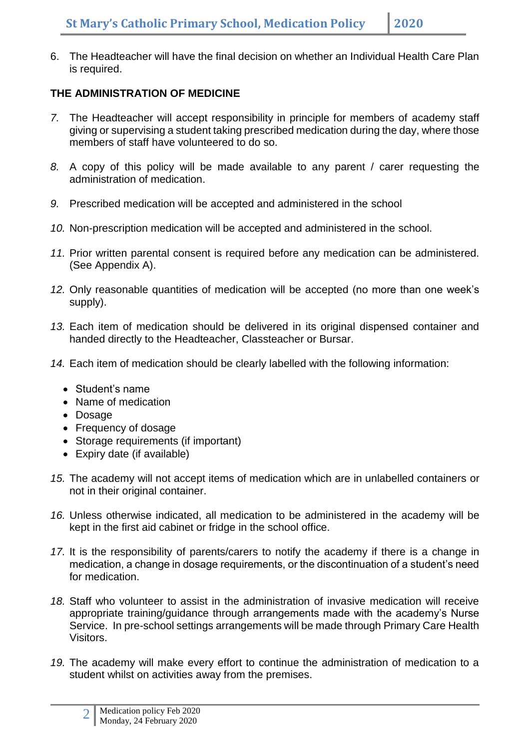6. The Headteacher will have the final decision on whether an Individual Health Care Plan is required.

# **THE ADMINISTRATION OF MEDICINE**

- *7.* The Headteacher will accept responsibility in principle for members of academy staff giving or supervising a student taking prescribed medication during the day, where those members of staff have volunteered to do so.
- *8.* A copy of this policy will be made available to any parent / carer requesting the administration of medication.
- *9.* Prescribed medication will be accepted and administered in the school
- *10.* Non-prescription medication will be accepted and administered in the school.
- *11.* Prior written parental consent is required before any medication can be administered. (See Appendix A).
- *12.* Only reasonable quantities of medication will be accepted (no more than one week's supply).
- *13.* Each item of medication should be delivered in its original dispensed container and handed directly to the Headteacher, Classteacher or Bursar.
- *14.* Each item of medication should be clearly labelled with the following information:
	- Student's name
	- Name of medication
	- Dosage
	- Frequency of dosage
	- Storage requirements (if important)
	- Expiry date (if available)
- *15.* The academy will not accept items of medication which are in unlabelled containers or not in their original container.
- *16.* Unless otherwise indicated, all medication to be administered in the academy will be kept in the first aid cabinet or fridge in the school office.
- *17.* It is the responsibility of parents/carers to notify the academy if there is a change in medication, a change in dosage requirements, or the discontinuation of a student's need for medication.
- *18.* Staff who volunteer to assist in the administration of invasive medication will receive appropriate training/guidance through arrangements made with the academy's Nurse Service. In pre-school settings arrangements will be made through Primary Care Health Visitors.
- *19.* The academy will make every effort to continue the administration of medication to a student whilst on activities away from the premises.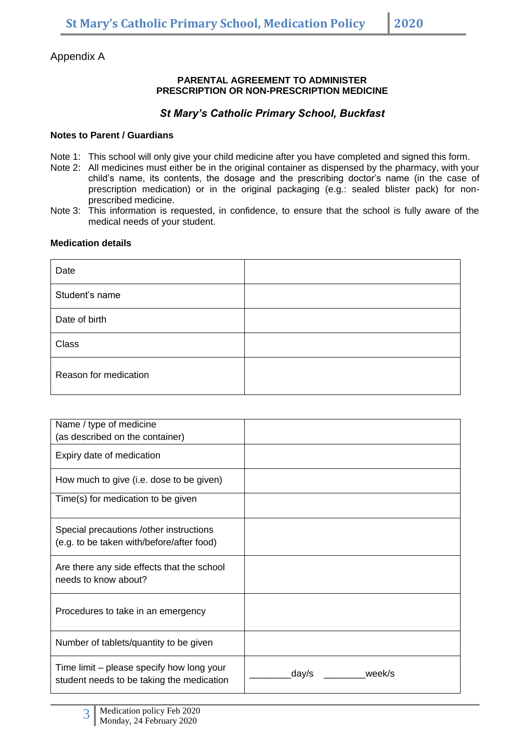Appendix A

### **PARENTAL AGREEMENT TO ADMINISTER PRESCRIPTION OR NON-PRESCRIPTION MEDICINE**

# *St Mary's Catholic Primary School, Buckfast*

# **Notes to Parent / Guardians**

- Note 1: This school will only give your child medicine after you have completed and signed this form.
- Note 2: All medicines must either be in the original container as dispensed by the pharmacy, with your child's name, its contents, the dosage and the prescribing doctor's name (in the case of prescription medication) or in the original packaging (e.g.: sealed blister pack) for nonprescribed medicine.
- Note 3: This information is requested, in confidence, to ensure that the school is fully aware of the medical needs of your student.

## **Medication details**

| Date                  |  |
|-----------------------|--|
| Student's name        |  |
| Date of birth         |  |
| Class                 |  |
| Reason for medication |  |

| Name / type of medicine                                                                |                 |
|----------------------------------------------------------------------------------------|-----------------|
| (as described on the container)                                                        |                 |
| Expiry date of medication                                                              |                 |
| How much to give (i.e. dose to be given)                                               |                 |
| Time(s) for medication to be given                                                     |                 |
| Special precautions / other instructions<br>(e.g. to be taken with/before/after food)  |                 |
| Are there any side effects that the school<br>needs to know about?                     |                 |
| Procedures to take in an emergency                                                     |                 |
| Number of tablets/quantity to be given                                                 |                 |
| Time limit – please specify how long your<br>student needs to be taking the medication | day/s<br>week/s |